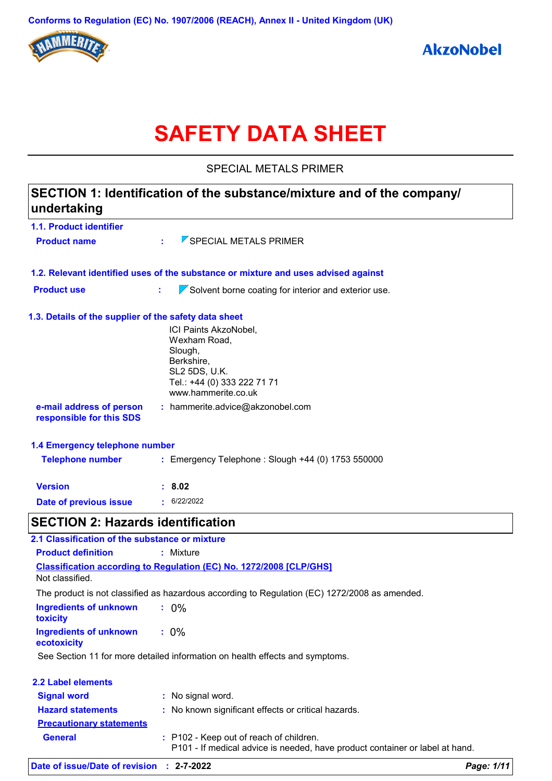

# **SAFETY DATA SHEET**

SPECIAL METALS PRIMER

| undertaking                                           | SECTION 1: Identification of the substance/mixture and of the company/                        |            |
|-------------------------------------------------------|-----------------------------------------------------------------------------------------------|------------|
| 1.1. Product identifier                               |                                                                                               |            |
| <b>Product name</b>                                   | SPECIAL METALS PRIMER                                                                         |            |
|                                                       | 1.2. Relevant identified uses of the substance or mixture and uses advised against            |            |
| <b>Product use</b>                                    | t.<br>Solvent borne coating for interior and exterior use.                                    |            |
| 1.3. Details of the supplier of the safety data sheet |                                                                                               |            |
|                                                       | ICI Paints AkzoNobel,                                                                         |            |
|                                                       | Wexham Road,                                                                                  |            |
|                                                       | Slough,<br>Berkshire,                                                                         |            |
|                                                       | SL2 5DS, U.K.                                                                                 |            |
|                                                       | Tel.: +44 (0) 333 222 71 71                                                                   |            |
|                                                       | www.hammerite.co.uk                                                                           |            |
| e-mail address of person<br>responsible for this SDS  | $:$ hammerite.advice@akzonobel.com                                                            |            |
| 1.4 Emergency telephone number                        |                                                                                               |            |
| <b>Telephone number</b>                               | : Emergency Telephone : Slough +44 (0) 1753 550000                                            |            |
| <b>Version</b>                                        | : 8.02                                                                                        |            |
| Date of previous issue                                | $\cdot$ 6/22/2022                                                                             |            |
| <b>SECTION 2: Hazards identification</b>              |                                                                                               |            |
| 2.1 Classification of the substance or mixture        |                                                                                               |            |
| <b>Product definition</b>                             | : Mixture                                                                                     |            |
|                                                       | Classification according to Regulation (EC) No. 1272/2008 [CLP/GHS]                           |            |
| Not classified.                                       |                                                                                               |            |
|                                                       | The product is not classified as hazardous according to Regulation (EC) 1272/2008 as amended. |            |
| <b>Ingredients of unknown</b><br>toxicity             | $: 0\%$                                                                                       |            |
| <b>Ingredients of unknown</b><br>ecotoxicity          | $: 0\%$                                                                                       |            |
|                                                       | See Section 11 for more detailed information on health effects and symptoms.                  |            |
| <b>2.2 Label elements</b>                             |                                                                                               |            |
| <b>Signal word</b>                                    | : No signal word.                                                                             |            |
| <b>Hazard statements</b>                              | : No known significant effects or critical hazards.                                           |            |
| <b>Precautionary statements</b>                       |                                                                                               |            |
| <b>General</b>                                        | : P102 - Keep out of reach of children.                                                       |            |
|                                                       | P101 - If medical advice is needed, have product container or label at hand.                  |            |
| Date of issue/Date of revision : 2-7-2022             |                                                                                               | Page: 1/11 |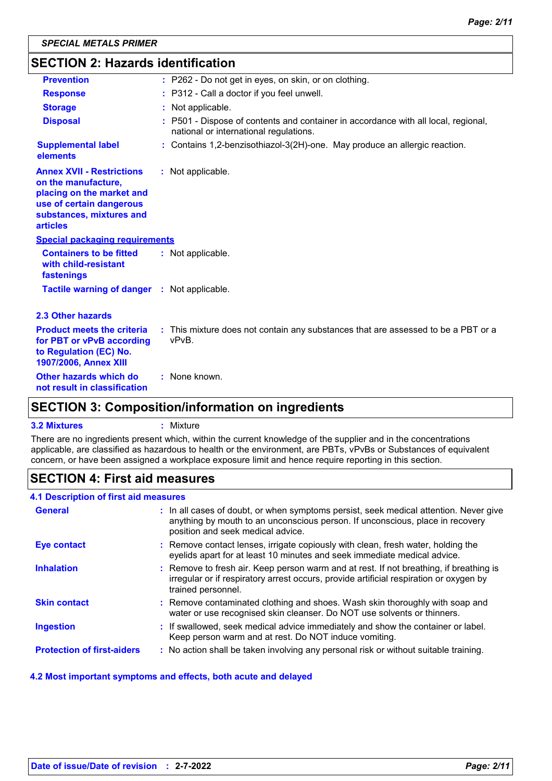| <b>SECTION 2: Hazards identification</b>                                                                                                                        |                                                                                                                              |  |  |  |
|-----------------------------------------------------------------------------------------------------------------------------------------------------------------|------------------------------------------------------------------------------------------------------------------------------|--|--|--|
| <b>Prevention</b>                                                                                                                                               | : P262 - Do not get in eyes, on skin, or on clothing.                                                                        |  |  |  |
| <b>Response</b>                                                                                                                                                 | : P312 - Call a doctor if you feel unwell.                                                                                   |  |  |  |
| <b>Storage</b>                                                                                                                                                  | : Not applicable.                                                                                                            |  |  |  |
| <b>Disposal</b>                                                                                                                                                 | : P501 - Dispose of contents and container in accordance with all local, regional,<br>national or international regulations. |  |  |  |
| <b>Supplemental label</b><br>elements                                                                                                                           | : Contains 1,2-benzisothiazol-3(2H)-one. May produce an allergic reaction.                                                   |  |  |  |
| <b>Annex XVII - Restrictions</b><br>on the manufacture,<br>placing on the market and<br>use of certain dangerous<br>substances, mixtures and<br><b>articles</b> | : Not applicable.                                                                                                            |  |  |  |
| <b>Special packaging requirements</b>                                                                                                                           |                                                                                                                              |  |  |  |
| <b>Containers to be fitted</b><br>with child-resistant<br>fastenings                                                                                            | : Not applicable.                                                                                                            |  |  |  |
| <b>Tactile warning of danger : Not applicable.</b>                                                                                                              |                                                                                                                              |  |  |  |
| 2.3 Other hazards                                                                                                                                               |                                                                                                                              |  |  |  |
| <b>Product meets the criteria</b><br>for PBT or vPvB according<br>to Regulation (EC) No.<br>1907/2006, Annex XIII                                               | : This mixture does not contain any substances that are assessed to be a PBT or a<br>vPvB.                                   |  |  |  |
| Other hazards which do<br>not result in classification                                                                                                          | : None known.                                                                                                                |  |  |  |

### **SECTION 3: Composition/information on ingredients**

### **3.2 Mixtures :** Mixture

There are no ingredients present which, within the current knowledge of the supplier and in the concentrations applicable, are classified as hazardous to health or the environment, are PBTs, vPvBs or Substances of equivalent concern, or have been assigned a workplace exposure limit and hence require reporting in this section.

### **SECTION 4: First aid measures**

### **4.1 Description of first aid measures**

| <b>General</b>                    | : In all cases of doubt, or when symptoms persist, seek medical attention. Never give<br>anything by mouth to an unconscious person. If unconscious, place in recovery<br>position and seek medical advice. |
|-----------------------------------|-------------------------------------------------------------------------------------------------------------------------------------------------------------------------------------------------------------|
| <b>Eye contact</b>                | : Remove contact lenses, irrigate copiously with clean, fresh water, holding the<br>eyelids apart for at least 10 minutes and seek immediate medical advice.                                                |
| <b>Inhalation</b>                 | : Remove to fresh air. Keep person warm and at rest. If not breathing, if breathing is<br>irregular or if respiratory arrest occurs, provide artificial respiration or oxygen by<br>trained personnel.      |
| <b>Skin contact</b>               | : Remove contaminated clothing and shoes. Wash skin thoroughly with soap and<br>water or use recognised skin cleanser. Do NOT use solvents or thinners.                                                     |
| <b>Ingestion</b>                  | : If swallowed, seek medical advice immediately and show the container or label.<br>Keep person warm and at rest. Do NOT induce vomiting.                                                                   |
| <b>Protection of first-aiders</b> | : No action shall be taken involving any personal risk or without suitable training.                                                                                                                        |

### **4.2 Most important symptoms and effects, both acute and delayed**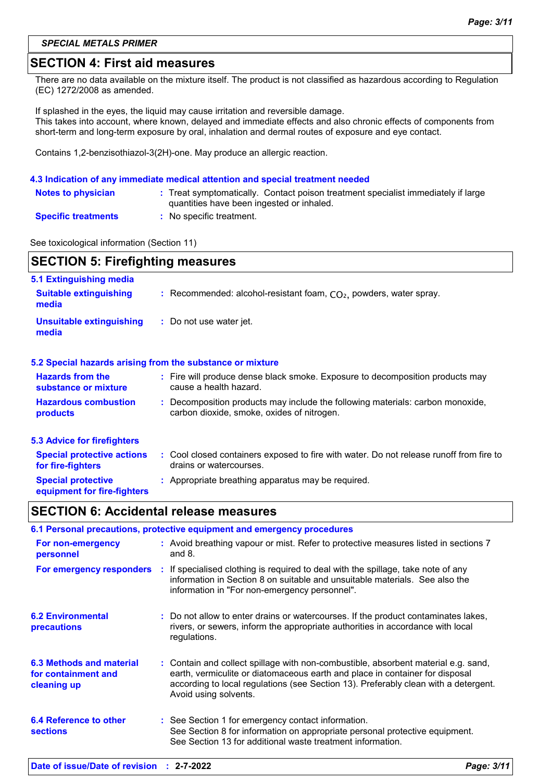#### *SPECIAL METALS PRIMER*

### **SECTION 4: First aid measures**

There are no data available on the mixture itself. The product is not classified as hazardous according to Regulation (EC) 1272/2008 as amended.

If splashed in the eyes, the liquid may cause irritation and reversible damage. This takes into account, where known, delayed and immediate effects and also chronic effects of components from short-term and long-term exposure by oral, inhalation and dermal routes of exposure and eye contact.

Contains 1,2-benzisothiazol-3(2H)-one. May produce an allergic reaction.

#### **4.3 Indication of any immediate medical attention and special treatment needed**

| <b>Notes to physician</b>  | : Treat symptomatically. Contact poison treatment specialist immediately if large<br>quantities have been ingested or inhaled. |
|----------------------------|--------------------------------------------------------------------------------------------------------------------------------|
| <b>Specific treatments</b> | No specific treatment.                                                                                                         |

See toxicological information (Section 11)

# **SECTION 5: Firefighting measures 5.1 Extinguishing media**

| <b>Suitable extinguishing</b><br>media                   | : Recommended: alcohol-resistant foam, $CO2$ , powders, water spray.                                                         |
|----------------------------------------------------------|------------------------------------------------------------------------------------------------------------------------------|
| <b>Unsuitable extinguishing</b><br>media                 | : Do not use water jet.                                                                                                      |
|                                                          | 5.2 Special hazards arising from the substance or mixture                                                                    |
| <b>Hazards from the</b><br>substance or mixture          | : Fire will produce dense black smoke. Exposure to decomposition products may<br>cause a health hazard.                      |
| <b>Hazardous combustion</b><br>products                  | : Decomposition products may include the following materials: carbon monoxide,<br>carbon dioxide, smoke, oxides of nitrogen. |
| <b>5.3 Advice for firefighters</b>                       |                                                                                                                              |
| <b>Special protective actions</b><br>for fire-fighters   | : Cool closed containers exposed to fire with water. Do not release runoff from fire to<br>drains or watercourses.           |
| <b>Special protective</b><br>equipment for fire-fighters | : Appropriate breathing apparatus may be required.                                                                           |

### **SECTION 6: Accidental release measures**

| 6.1 Personal precautions, protective equipment and emergency procedures |  |                                                                                                                                                                                                                                                                                    |  |  |
|-------------------------------------------------------------------------|--|------------------------------------------------------------------------------------------------------------------------------------------------------------------------------------------------------------------------------------------------------------------------------------|--|--|
| For non-emergency<br>personnel                                          |  | : Avoid breathing vapour or mist. Refer to protective measures listed in sections 7<br>and $8.$                                                                                                                                                                                    |  |  |
|                                                                         |  | For emergency responders : If specialised clothing is required to deal with the spillage, take note of any<br>information in Section 8 on suitable and unsuitable materials. See also the<br>information in "For non-emergency personnel".                                         |  |  |
| <b>6.2 Environmental</b><br>precautions                                 |  | : Do not allow to enter drains or watercourses. If the product contaminates lakes,<br>rivers, or sewers, inform the appropriate authorities in accordance with local<br>regulations.                                                                                               |  |  |
| 6.3 Methods and material<br>for containment and<br>cleaning up          |  | : Contain and collect spillage with non-combustible, absorbent material e.g. sand,<br>earth, vermiculite or diatomaceous earth and place in container for disposal<br>according to local regulations (see Section 13). Preferably clean with a detergent.<br>Avoid using solvents. |  |  |
| 6.4 Reference to other<br><b>sections</b>                               |  | : See Section 1 for emergency contact information.<br>See Section 8 for information on appropriate personal protective equipment.<br>See Section 13 for additional waste treatment information.                                                                                    |  |  |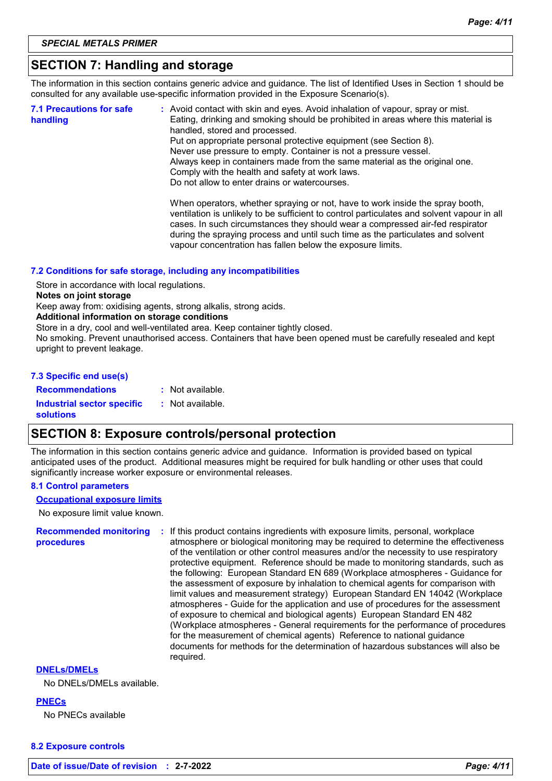### **SECTION 7: Handling and storage**

The information in this section contains generic advice and guidance. The list of Identified Uses in Section 1 should be consulted for any available use-specific information provided in the Exposure Scenario(s).

| <b>7.1 Precautions for safe</b><br>handling | : Avoid contact with skin and eyes. Avoid inhalation of vapour, spray or mist.<br>Eating, drinking and smoking should be prohibited in areas where this material is<br>handled, stored and processed.<br>Put on appropriate personal protective equipment (see Section 8).<br>Never use pressure to empty. Container is not a pressure vessel.<br>Always keep in containers made from the same material as the original one.<br>Comply with the health and safety at work laws.<br>Do not allow to enter drains or watercourses. |
|---------------------------------------------|----------------------------------------------------------------------------------------------------------------------------------------------------------------------------------------------------------------------------------------------------------------------------------------------------------------------------------------------------------------------------------------------------------------------------------------------------------------------------------------------------------------------------------|
|                                             | When operators, whether spraying or not, have to work inside the spray booth,<br>ventilation is unlikely to be sufficient to control particulates and solvent vapour in all<br>cases. In such circumstances they should wear a compressed air-fed respirator<br>during the spraying process and until such time as the particulates and solvent<br>vapour concentration has fallen below the exposure limits.                                                                                                                    |

#### **7.2 Conditions for safe storage, including any incompatibilities**

Store in accordance with local regulations.

#### **Notes on joint storage**

Keep away from: oxidising agents, strong alkalis, strong acids.

#### **Additional information on storage conditions**

Store in a dry, cool and well-ventilated area. Keep container tightly closed.

No smoking. Prevent unauthorised access. Containers that have been opened must be carefully resealed and kept upright to prevent leakage.

#### **7.3 Specific end use(s)**

**Recommendations :**

: Not available.

**Industrial sector specific : solutions** : Not available.

### **SECTION 8: Exposure controls/personal protection**

The information in this section contains generic advice and guidance. Information is provided based on typical anticipated uses of the product. Additional measures might be required for bulk handling or other uses that could significantly increase worker exposure or environmental releases.

### **8.1 Control parameters**

No exposure limit value known. **Occupational exposure limits**

**Recommended monitoring procedures :** If this product contains ingredients with exposure limits, personal, workplace atmosphere or biological monitoring may be required to determine the effectiveness of the ventilation or other control measures and/or the necessity to use respiratory protective equipment. Reference should be made to monitoring standards, such as the following: European Standard EN 689 (Workplace atmospheres - Guidance for the assessment of exposure by inhalation to chemical agents for comparison with limit values and measurement strategy) European Standard EN 14042 (Workplace atmospheres - Guide for the application and use of procedures for the assessment of exposure to chemical and biological agents) European Standard EN 482 (Workplace atmospheres - General requirements for the performance of procedures for the measurement of chemical agents) Reference to national guidance documents for methods for the determination of hazardous substances will also be required.

### **DNELs/DMELs**

No DNELs/DMELs available.

#### **PNECs**

No PNECs available

#### **8.2 Exposure controls**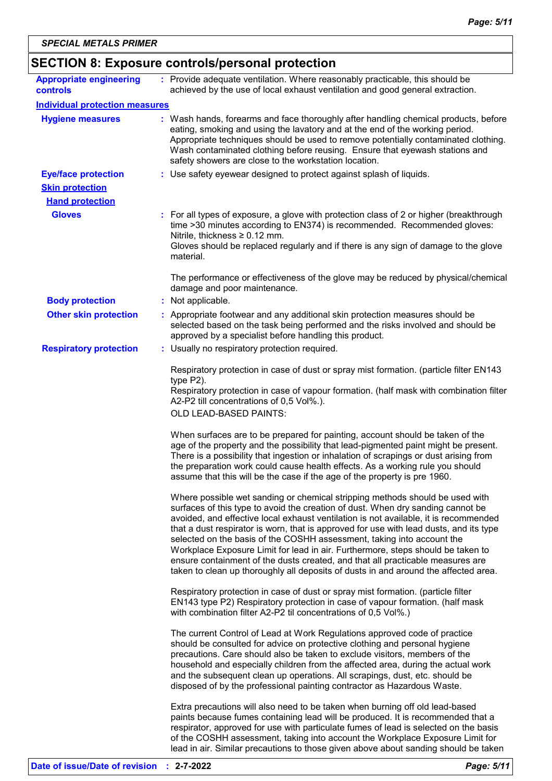| <b>SECTION 8: Exposure controls/personal protection</b> |  |                                                                                                                                                                                                                                                                                                                                                                                                                                                                                                                                                                                                                                                                                         |  |  |
|---------------------------------------------------------|--|-----------------------------------------------------------------------------------------------------------------------------------------------------------------------------------------------------------------------------------------------------------------------------------------------------------------------------------------------------------------------------------------------------------------------------------------------------------------------------------------------------------------------------------------------------------------------------------------------------------------------------------------------------------------------------------------|--|--|
| <b>Appropriate engineering</b><br>controls              |  | : Provide adequate ventilation. Where reasonably practicable, this should be<br>achieved by the use of local exhaust ventilation and good general extraction.                                                                                                                                                                                                                                                                                                                                                                                                                                                                                                                           |  |  |
| <b>Individual protection measures</b>                   |  |                                                                                                                                                                                                                                                                                                                                                                                                                                                                                                                                                                                                                                                                                         |  |  |
| <b>Hygiene measures</b>                                 |  | : Wash hands, forearms and face thoroughly after handling chemical products, before<br>eating, smoking and using the lavatory and at the end of the working period.<br>Appropriate techniques should be used to remove potentially contaminated clothing.<br>Wash contaminated clothing before reusing. Ensure that eyewash stations and<br>safety showers are close to the workstation location.                                                                                                                                                                                                                                                                                       |  |  |
| <b>Eye/face protection</b>                              |  | : Use safety eyewear designed to protect against splash of liquids.                                                                                                                                                                                                                                                                                                                                                                                                                                                                                                                                                                                                                     |  |  |
| <b>Skin protection</b>                                  |  |                                                                                                                                                                                                                                                                                                                                                                                                                                                                                                                                                                                                                                                                                         |  |  |
| <b>Hand protection</b>                                  |  |                                                                                                                                                                                                                                                                                                                                                                                                                                                                                                                                                                                                                                                                                         |  |  |
| <b>Gloves</b>                                           |  | For all types of exposure, a glove with protection class of 2 or higher (breakthrough<br>time >30 minutes according to EN374) is recommended. Recommended gloves:<br>Nitrile, thickness $\geq 0.12$ mm.<br>Gloves should be replaced regularly and if there is any sign of damage to the glove<br>material.                                                                                                                                                                                                                                                                                                                                                                             |  |  |
|                                                         |  | The performance or effectiveness of the glove may be reduced by physical/chemical<br>damage and poor maintenance.                                                                                                                                                                                                                                                                                                                                                                                                                                                                                                                                                                       |  |  |
| <b>Body protection</b>                                  |  | : Not applicable.                                                                                                                                                                                                                                                                                                                                                                                                                                                                                                                                                                                                                                                                       |  |  |
| <b>Other skin protection</b>                            |  | : Appropriate footwear and any additional skin protection measures should be<br>selected based on the task being performed and the risks involved and should be<br>approved by a specialist before handling this product.                                                                                                                                                                                                                                                                                                                                                                                                                                                               |  |  |
| <b>Respiratory protection</b>                           |  | : Usually no respiratory protection required.                                                                                                                                                                                                                                                                                                                                                                                                                                                                                                                                                                                                                                           |  |  |
|                                                         |  | Respiratory protection in case of dust or spray mist formation. (particle filter EN143<br>type $P2$ ).<br>Respiratory protection in case of vapour formation. (half mask with combination filter<br>A2-P2 till concentrations of 0,5 Vol%.).                                                                                                                                                                                                                                                                                                                                                                                                                                            |  |  |
|                                                         |  | OLD LEAD-BASED PAINTS:                                                                                                                                                                                                                                                                                                                                                                                                                                                                                                                                                                                                                                                                  |  |  |
|                                                         |  | When surfaces are to be prepared for painting, account should be taken of the<br>age of the property and the possibility that lead-pigmented paint might be present.<br>There is a possibility that ingestion or inhalation of scrapings or dust arising from<br>the preparation work could cause health effects. As a working rule you should<br>assume that this will be the case if the age of the property is pre 1960.                                                                                                                                                                                                                                                             |  |  |
|                                                         |  | Where possible wet sanding or chemical stripping methods should be used with<br>surfaces of this type to avoid the creation of dust. When dry sanding cannot be<br>avoided, and effective local exhaust ventilation is not available, it is recommended<br>that a dust respirator is worn, that is approved for use with lead dusts, and its type<br>selected on the basis of the COSHH assessment, taking into account the<br>Workplace Exposure Limit for lead in air. Furthermore, steps should be taken to<br>ensure containment of the dusts created, and that all practicable measures are<br>taken to clean up thoroughly all deposits of dusts in and around the affected area. |  |  |
|                                                         |  | Respiratory protection in case of dust or spray mist formation. (particle filter<br>EN143 type P2) Respiratory protection in case of vapour formation. (half mask<br>with combination filter A2-P2 til concentrations of 0,5 Vol%.)                                                                                                                                                                                                                                                                                                                                                                                                                                                     |  |  |
|                                                         |  | The current Control of Lead at Work Regulations approved code of practice<br>should be consulted for advice on protective clothing and personal hygiene<br>precautions. Care should also be taken to exclude visitors, members of the<br>household and especially children from the affected area, during the actual work<br>and the subsequent clean up operations. All scrapings, dust, etc. should be<br>disposed of by the professional painting contractor as Hazardous Waste.                                                                                                                                                                                                     |  |  |
|                                                         |  | Extra precautions will also need to be taken when burning off old lead-based<br>paints because fumes containing lead will be produced. It is recommended that a<br>respirator, approved for use with particulate fumes of lead is selected on the basis<br>of the COSHH assessment, taking into account the Workplace Exposure Limit for<br>lead in air. Similar precautions to those given above about sanding should be taken                                                                                                                                                                                                                                                         |  |  |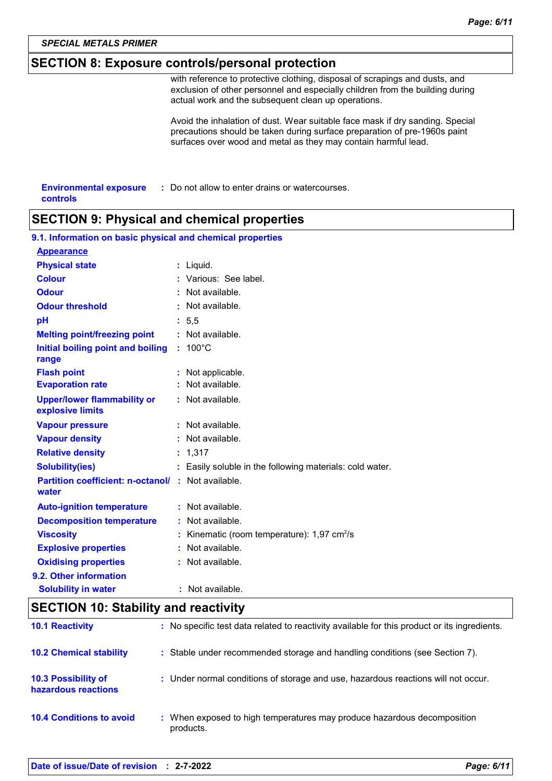### **SECTION 8: Exposure controls/personal protection**

with reference to protective clothing, disposal of scrapings and dusts, and exclusion of other personnel and especially children from the building during actual work and the subsequent clean up operations.

Avoid the inhalation of dust. Wear suitable face mask if dry sanding. Special precautions should be taken during surface preparation of pre-1960s paint surfaces over wood and metal as they may contain harmful lead.

| <b>Environmental exposure</b> | : Do not allow to enter drains or watercourses. |
|-------------------------------|-------------------------------------------------|
| controls                      |                                                 |

### **SECTION 9: Physical and chemical properties**

| 9.1. Information on basic physical and chemical properties         |  |                                                          |  |
|--------------------------------------------------------------------|--|----------------------------------------------------------|--|
| <b>Appearance</b>                                                  |  |                                                          |  |
| <b>Physical state</b>                                              |  | : Liquid.                                                |  |
| <b>Colour</b>                                                      |  | : Various: See label.                                    |  |
| <b>Odour</b>                                                       |  | : Not available.                                         |  |
| <b>Odour threshold</b>                                             |  | : Not available.                                         |  |
| pH                                                                 |  | : 5,5                                                    |  |
| <b>Melting point/freezing point</b>                                |  | : Not available.                                         |  |
| Initial boiling point and boiling<br>range                         |  | $: 100^{\circ}$ C                                        |  |
| <b>Flash point</b>                                                 |  | : Not applicable.                                        |  |
| <b>Evaporation rate</b>                                            |  | : Not available.                                         |  |
| <b>Upper/lower flammability or</b><br>explosive limits             |  | : Not available.                                         |  |
| <b>Vapour pressure</b>                                             |  | : Not available.                                         |  |
| <b>Vapour density</b>                                              |  | : Not available.                                         |  |
| <b>Relative density</b>                                            |  | : 1,317                                                  |  |
| <b>Solubility(ies)</b>                                             |  | : Easily soluble in the following materials: cold water. |  |
| <b>Partition coefficient: n-octanol/ : Not available.</b><br>water |  |                                                          |  |
| <b>Auto-ignition temperature</b>                                   |  | : Not available.                                         |  |
| <b>Decomposition temperature</b>                                   |  | : Not available.                                         |  |
| <b>Viscosity</b>                                                   |  | Kinematic (room temperature): 1,97 cm <sup>2</sup> /s    |  |
| <b>Explosive properties</b>                                        |  | : Not available.                                         |  |
| <b>Oxidising properties</b>                                        |  | : Not available.                                         |  |
| 9.2. Other information                                             |  |                                                          |  |
| <b>Solubility in water</b>                                         |  | : Not available.                                         |  |

### **SECTION 10: Stability and reactivity**

| <b>10.1 Reactivity</b>                            | : No specific test data related to reactivity available for this product or its ingredients. |
|---------------------------------------------------|----------------------------------------------------------------------------------------------|
| <b>10.2 Chemical stability</b>                    | : Stable under recommended storage and handling conditions (see Section 7).                  |
| <b>10.3 Possibility of</b><br>hazardous reactions | : Under normal conditions of storage and use, hazardous reactions will not occur.            |
| <b>10.4 Conditions to avoid</b>                   | : When exposed to high temperatures may produce hazardous decomposition<br>products.         |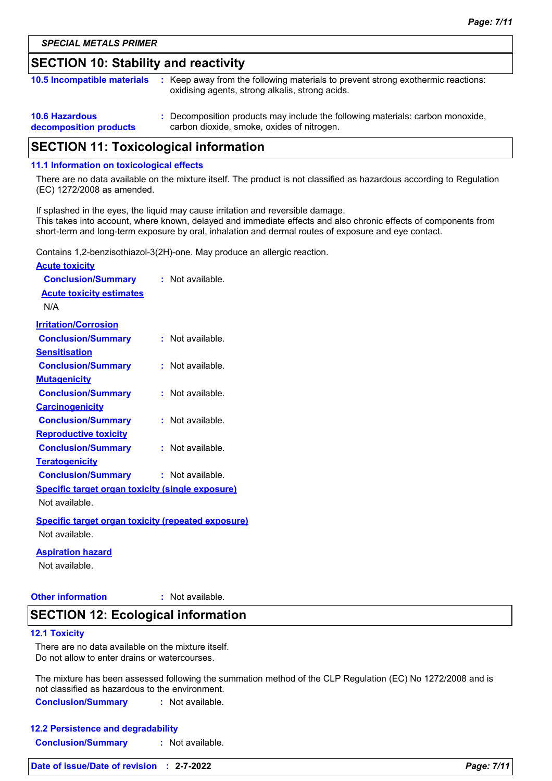### **SECTION 10: Stability and reactivity**

| <b>10.5 Incompatible materials</b>              | : Keep away from the following materials to prevent strong exothermic reactions:<br>oxidising agents, strong alkalis, strong acids. |
|-------------------------------------------------|-------------------------------------------------------------------------------------------------------------------------------------|
| <b>10.6 Hazardous</b><br>decomposition products | : Decomposition products may include the following materials: carbon monoxide,<br>carbon dioxide, smoke, oxides of nitrogen.        |

### **SECTION 11: Toxicological information**

#### **11.1 Information on toxicological effects**

There are no data available on the mixture itself. The product is not classified as hazardous according to Regulation (EC) 1272/2008 as amended.

If splashed in the eyes, the liquid may cause irritation and reversible damage. This takes into account, where known, delayed and immediate effects and also chronic effects of components from short-term and long-term exposure by oral, inhalation and dermal routes of exposure and eye contact.

Contains 1,2-benzisothiazol-3(2H)-one. May produce an allergic reaction.

| <b>Acute toxicity</b>                                     |                  |
|-----------------------------------------------------------|------------------|
| <b>Conclusion/Summary</b>                                 | : Not available. |
| <b>Acute toxicity estimates</b>                           |                  |
| N/A                                                       |                  |
| <b>Irritation/Corrosion</b>                               |                  |
| <b>Conclusion/Summary</b>                                 | : Not available. |
| <b>Sensitisation</b>                                      |                  |
| <b>Conclusion/Summary</b>                                 | : Not available. |
| <b>Mutagenicity</b>                                       |                  |
| <b>Conclusion/Summary</b>                                 | : Not available. |
| <b>Carcinogenicity</b>                                    |                  |
| <b>Conclusion/Summary</b>                                 | : Not available. |
| <b>Reproductive toxicity</b>                              |                  |
| <b>Conclusion/Summary</b>                                 | : Not available. |
| <b>Teratogenicity</b>                                     |                  |
| <b>Conclusion/Summary</b>                                 | : Not available. |
| <b>Specific target organ toxicity (single exposure)</b>   |                  |
| Not available.                                            |                  |
| <b>Specific target organ toxicity (repeated exposure)</b> |                  |
| Not available.                                            |                  |
| <b>Aspiration hazard</b>                                  |                  |
| Not available                                             |                  |

## **Other information :**

: Not available.

### **SECTION 12: Ecological information**

#### **12.1 Toxicity**

There are no data available on the mixture itself. Do not allow to enter drains or watercourses.

The mixture has been assessed following the summation method of the CLP Regulation (EC) No 1272/2008 and is not classified as hazardous to the environment.

**Conclusion/Summary :** Not available.

| <b>12.2 Persistence and degradability</b> |                  |
|-------------------------------------------|------------------|
| <b>Conclusion/Summary</b>                 | : Not available. |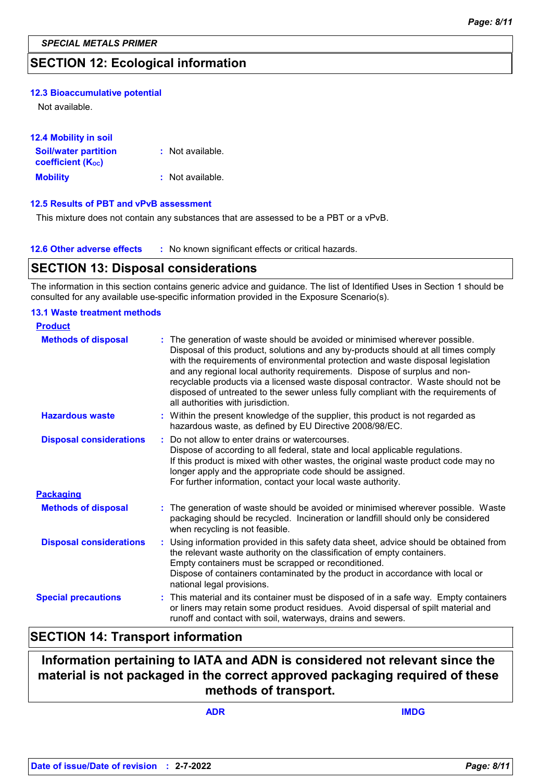### **SECTION 12: Ecological information**

#### **12.3 Bioaccumulative potential**

Not available.

| <b>12.4 Mobility in soil</b>          |                  |
|---------------------------------------|------------------|
| <b>Soil/water partition</b>           | : Not available. |
| <b>coefficient</b> (K <sub>oc</sub> ) |                  |
| <b>Mobility</b>                       | : Not available. |

#### **12.5 Results of PBT and vPvB assessment**

This mixture does not contain any substances that are assessed to be a PBT or a vPvB.

| <b>12.6 Other adverse effects</b> | * No known significant effects or critical hazards. |
|-----------------------------------|-----------------------------------------------------|
|-----------------------------------|-----------------------------------------------------|

### **SECTION 13: Disposal considerations**

The information in this section contains generic advice and guidance. The list of Identified Uses in Section 1 should be consulted for any available use-specific information provided in the Exposure Scenario(s).

#### **13.1 Waste treatment methods**

| <b>Product</b>                 |                                                                                                                                                                                                                                                                                                                                                                                                                                                                                                                                                    |
|--------------------------------|----------------------------------------------------------------------------------------------------------------------------------------------------------------------------------------------------------------------------------------------------------------------------------------------------------------------------------------------------------------------------------------------------------------------------------------------------------------------------------------------------------------------------------------------------|
| <b>Methods of disposal</b>     | The generation of waste should be avoided or minimised wherever possible.<br>Disposal of this product, solutions and any by-products should at all times comply<br>with the requirements of environmental protection and waste disposal legislation<br>and any regional local authority requirements. Dispose of surplus and non-<br>recyclable products via a licensed waste disposal contractor. Waste should not be<br>disposed of untreated to the sewer unless fully compliant with the requirements of<br>all authorities with jurisdiction. |
| <b>Hazardous waste</b>         | : Within the present knowledge of the supplier, this product is not regarded as<br>hazardous waste, as defined by EU Directive 2008/98/EC.                                                                                                                                                                                                                                                                                                                                                                                                         |
| <b>Disposal considerations</b> | Do not allow to enter drains or watercourses.<br>Dispose of according to all federal, state and local applicable regulations.<br>If this product is mixed with other wastes, the original waste product code may no<br>longer apply and the appropriate code should be assigned.<br>For further information, contact your local waste authority.                                                                                                                                                                                                   |
| <b>Packaging</b>               |                                                                                                                                                                                                                                                                                                                                                                                                                                                                                                                                                    |
| <b>Methods of disposal</b>     | : The generation of waste should be avoided or minimised wherever possible. Waste<br>packaging should be recycled. Incineration or landfill should only be considered<br>when recycling is not feasible.                                                                                                                                                                                                                                                                                                                                           |
| <b>Disposal considerations</b> | : Using information provided in this safety data sheet, advice should be obtained from<br>the relevant waste authority on the classification of empty containers.<br>Empty containers must be scrapped or reconditioned.<br>Dispose of containers contaminated by the product in accordance with local or<br>national legal provisions.                                                                                                                                                                                                            |
| <b>Special precautions</b>     | : This material and its container must be disposed of in a safe way. Empty containers<br>or liners may retain some product residues. Avoid dispersal of spilt material and<br>runoff and contact with soil, waterways, drains and sewers.                                                                                                                                                                                                                                                                                                          |

### **SECTION 14: Transport information**

### **Information pertaining to IATA and ADN is considered not relevant since the material is not packaged in the correct approved packaging required of these methods of transport.**

**ADR IMDG**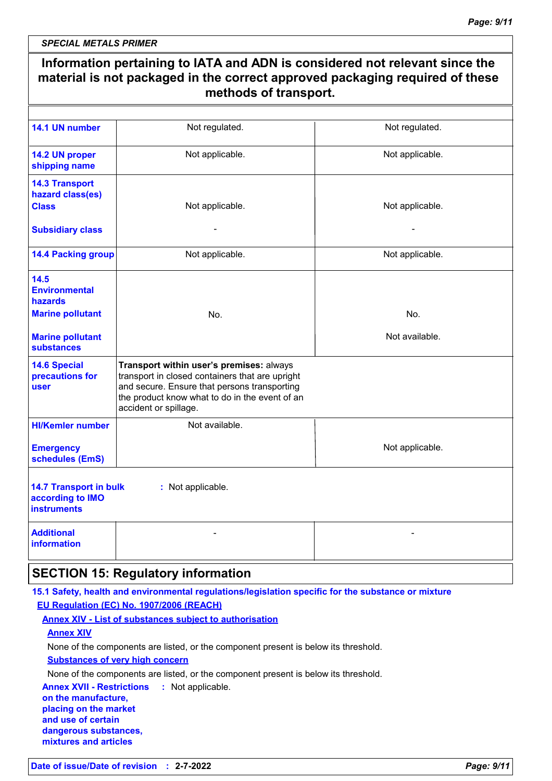*SPECIAL METALS PRIMER*

| Information pertaining to IATA and ADN is considered not relevant since the<br>material is not packaged in the correct approved packaging required of these<br>methods of transport. |                                                                                                                                                                                                                        |                 |
|--------------------------------------------------------------------------------------------------------------------------------------------------------------------------------------|------------------------------------------------------------------------------------------------------------------------------------------------------------------------------------------------------------------------|-----------------|
|                                                                                                                                                                                      |                                                                                                                                                                                                                        |                 |
| 14.1 UN number                                                                                                                                                                       | Not regulated.                                                                                                                                                                                                         | Not regulated.  |
| 14.2 UN proper<br>shipping name                                                                                                                                                      | Not applicable.                                                                                                                                                                                                        | Not applicable. |
| <b>14.3 Transport</b><br>hazard class(es)<br><b>Class</b>                                                                                                                            | Not applicable.                                                                                                                                                                                                        | Not applicable. |
| <b>Subsidiary class</b>                                                                                                                                                              |                                                                                                                                                                                                                        |                 |
| <b>14.4 Packing group</b>                                                                                                                                                            | Not applicable.                                                                                                                                                                                                        | Not applicable. |
| 14.5<br><b>Environmental</b><br>hazards                                                                                                                                              |                                                                                                                                                                                                                        |                 |
| <b>Marine pollutant</b>                                                                                                                                                              | No.                                                                                                                                                                                                                    | No.             |
| <b>Marine pollutant</b><br><b>substances</b>                                                                                                                                         |                                                                                                                                                                                                                        | Not available.  |
| <b>14.6 Special</b><br>precautions for<br>user                                                                                                                                       | Transport within user's premises: always<br>transport in closed containers that are upright<br>and secure. Ensure that persons transporting<br>the product know what to do in the event of an<br>accident or spillage. |                 |
| <b>HI/Kemler number</b>                                                                                                                                                              | Not available.                                                                                                                                                                                                         |                 |
| <b>Emergency</b><br>schedules (EmS)                                                                                                                                                  |                                                                                                                                                                                                                        | Not applicable. |
| <b>14.7 Transport in bulk</b><br>according to IMO<br><b>instruments</b>                                                                                                              | : Not applicable.                                                                                                                                                                                                      |                 |
| <b>Additional</b><br>information                                                                                                                                                     |                                                                                                                                                                                                                        |                 |
|                                                                                                                                                                                      | <b>SECTION 15: Regulatory information</b>                                                                                                                                                                              |                 |
|                                                                                                                                                                                      | 15.1 Safety, health and environmental regulations/legislation specific for the substance or mixture                                                                                                                    |                 |
|                                                                                                                                                                                      | EU Regulation (EC) No. 1907/2006 (REACH)                                                                                                                                                                               |                 |
|                                                                                                                                                                                      | <b>Annex XIV - List of substances subject to authorisation</b>                                                                                                                                                         |                 |
| <b>Annex XIV</b>                                                                                                                                                                     |                                                                                                                                                                                                                        |                 |
|                                                                                                                                                                                      | None of the components are listed, or the component present is below its threshold.                                                                                                                                    |                 |
|                                                                                                                                                                                      | <b>Substances of very high concern</b>                                                                                                                                                                                 |                 |
| <b>Annex XVII - Restrictions</b>                                                                                                                                                     | None of the components are listed, or the component present is below its threshold.<br>: Not applicable.                                                                                                               |                 |
| on the manufacture,                                                                                                                                                                  |                                                                                                                                                                                                                        |                 |

**placing on the market and use of certain dangerous substances, mixtures and articles**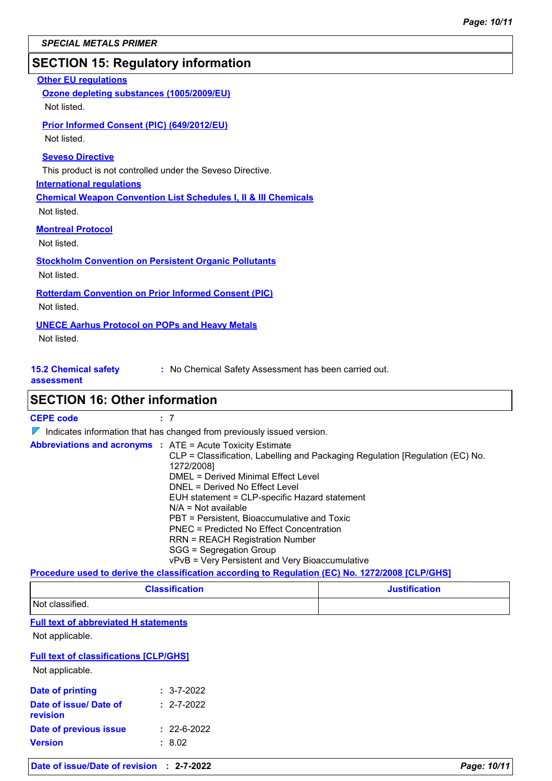### **SECTION 15: Regulatory information**

### **Other EU regulations International regulations 15.2 Chemical safety :** No Chemical Safety Assessment has been carried out. **Seveso Directive** This product is not controlled under the Seveso Directive. **Ozone depleting substances (1005/2009/EU)** Not listed. **Prior Informed Consent (PIC) (649/2012/EU)** Not listed. **Chemical Weapon Convention List Schedules I, II & III Chemicals Montreal Protocol** Not listed. **Stockholm Convention on Persistent Organic Pollutants** Not listed. **Rotterdam Convention on Prior Informed Consent (PIC)** Not listed. **UNECE Aarhus Protocol on POPs and Heavy Metals** Not listed. Not listed.

#### **assessment**

### **SECTION 16: Other information**

 $\nabla$  Indicates information that has changed from previously issued version.

| <b>Abbreviations and acronyms : ATE = Acute Toxicity Estimate</b><br>CLP = Classification, Labelling and Packaging Regulation [Regulation (EC) No.<br>1272/2008]<br><b>DMEL = Derived Minimal Effect Level</b><br>DNEL = Derived No Effect Level<br>EUH statement = CLP-specific Hazard statement<br>$N/A = Not available$<br>PBT = Persistent, Bioaccumulative and Toxic<br>PNEC = Predicted No Effect Concentration<br><b>RRN = REACH Registration Number</b><br>SGG = Segregation Group |
|--------------------------------------------------------------------------------------------------------------------------------------------------------------------------------------------------------------------------------------------------------------------------------------------------------------------------------------------------------------------------------------------------------------------------------------------------------------------------------------------|
| vPvB = Very Persistent and Very Bioaccumulative                                                                                                                                                                                                                                                                                                                                                                                                                                            |

### **Procedure used to derive the classification according to Regulation (EC) No. 1272/2008 [CLP/GHS]**

| <b>Classification</b> | <b>Justification</b> |
|-----------------------|----------------------|
| Not classified.       |                      |

#### **Full text of abbreviated H statements**

Not applicable.

#### **Full text of classifications [CLP/GHS]**

Not applicable.

| Date of printing                   | $: 3 - 7 - 2022$  |
|------------------------------------|-------------------|
| Date of issue/ Date of<br>revision | $: 2 - 7 - 2022$  |
| <b>Date of previous issue</b>      | $: 22 - 6 - 2022$ |
| <b>Version</b>                     | : 8.02            |

| Date of issue/Date of revision : 2-7-2022 |  |
|-------------------------------------------|--|
|-------------------------------------------|--|